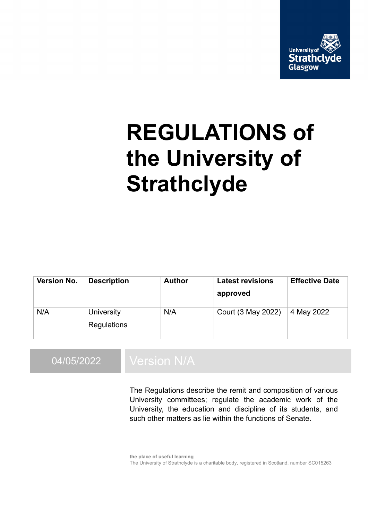

# **REGULATIONS of the University of Strathclyde**

| Version No. | <b>Description</b>        | <b>Author</b> | <b>Latest revisions</b><br>approved | <b>Effective Date</b> |
|-------------|---------------------------|---------------|-------------------------------------|-----------------------|
| N/A         | University<br>Regulations | N/A           | Court (3 May 2022)                  | 4 May 2022            |

# 04/05/2022 Version N/A

The Regulations describe the remit and composition of various University committees; regulate the academic work of the University, the education and discipline of its students, and such other matters as lie within the functions of Senate.

**the place of useful learning** The University of Strathclyde is a charitable body, registered in Scotland, number SC015263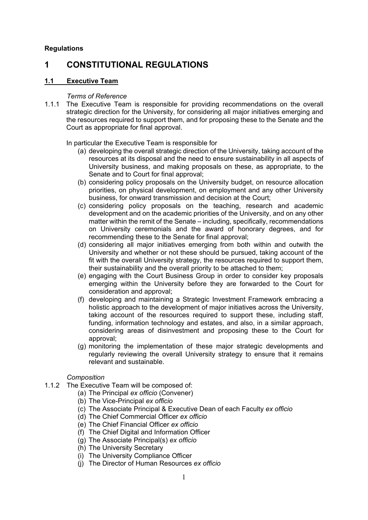#### **Regulations**

# **1 CONSTITUTIONAL REGULATIONS**

#### **1.1 Executive Team**

#### *Terms of Reference*

1.1.1 The Executive Team is responsible for providing recommendations on the overall strategic direction for the University, for considering all major initiatives emerging and the resources required to support them, and for proposing these to the Senate and the Court as appropriate for final approval.

#### In particular the Executive Team is responsible for

- (a) developing the overall strategic direction of the University, taking account of the resources at its disposal and the need to ensure sustainability in all aspects of University business, and making proposals on these, as appropriate, to the Senate and to Court for final approval;
- (b) considering policy proposals on the University budget, on resource allocation priorities, on physical development, on employment and any other University business, for onward transmission and decision at the Court;
- (c) considering policy proposals on the teaching, research and academic development and on the academic priorities of the University, and on any other matter within the remit of the Senate – including, specifically, recommendations on University ceremonials and the award of honorary degrees, and for recommending these to the Senate for final approval;
- (d) considering all major initiatives emerging from both within and outwith the University and whether or not these should be pursued, taking account of the fit with the overall University strategy, the resources required to support them, their sustainability and the overall priority to be attached to them;
- (e) engaging with the Court Business Group in order to consider key proposals emerging within the University before they are forwarded to the Court for consideration and approval;
- (f) developing and maintaining a Strategic Investment Framework embracing a holistic approach to the development of major initiatives across the University, taking account of the resources required to support these, including staff, funding, information technology and estates, and also, in a similar approach, considering areas of disinvestment and proposing these to the Court for approval;
- (g) monitoring the implementation of these major strategic developments and regularly reviewing the overall University strategy to ensure that it remains relevant and sustainable.

#### *Composition*

- 1.1.2 The Executive Team will be composed of:
	- (a) The Principal *ex officio* (Convener)
	- (b) The Vice-Principal *ex officio*
	- (c) The Associate Principal & Executive Dean of each Faculty *ex officio*
	- (d) The Chief Commercial Officer *ex officio*
	- (e) The Chief Financial Officer *ex officio*
	- (f) The Chief Digital and Information Officer
	- (g) The Associate Principal(s) *ex officio*
	- (h) The University Secretary
	- (i) The University Compliance Officer
	- (j) The Director of Human Resources *ex officio*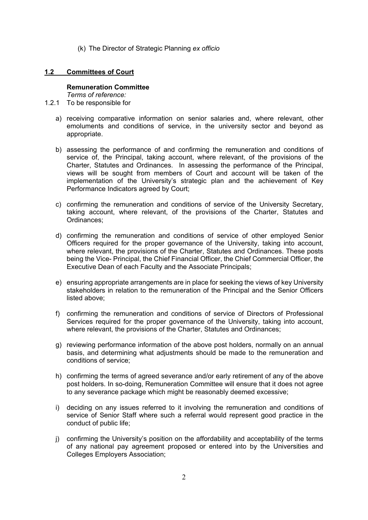(k) The Director of Strategic Planning *ex officio*

#### **1.2 Committees of Court**

#### **Remuneration Committee**

*Terms of reference:*

1.2.1 To be responsible for

- a) receiving comparative information on senior salaries and, where relevant, other emoluments and conditions of service, in the university sector and beyond as appropriate.
- b) assessing the performance of and confirming the remuneration and conditions of service of, the Principal, taking account, where relevant, of the provisions of the Charter, Statutes and Ordinances. In assessing the performance of the Principal, views will be sought from members of Court and account will be taken of the implementation of the University's strategic plan and the achievement of Key Performance Indicators agreed by Court;
- c) confirming the remuneration and conditions of service of the University Secretary, taking account, where relevant, of the provisions of the Charter, Statutes and Ordinances;
- d) confirming the remuneration and conditions of service of other employed Senior Officers required for the proper governance of the University, taking into account, where relevant, the provisions of the Charter, Statutes and Ordinances. These posts being the Vice- Principal, the Chief Financial Officer, the Chief Commercial Officer, the Executive Dean of each Faculty and the Associate Principals;
- e) ensuring appropriate arrangements are in place for seeking the views of key University stakeholders in relation to the remuneration of the Principal and the Senior Officers listed above;
- f) confirming the remuneration and conditions of service of Directors of Professional Services required for the proper governance of the University, taking into account, where relevant, the provisions of the Charter, Statutes and Ordinances;
- g) reviewing performance information of the above post holders, normally on an annual basis, and determining what adjustments should be made to the remuneration and conditions of service;
- h) confirming the terms of agreed severance and/or early retirement of any of the above post holders. In so-doing, Remuneration Committee will ensure that it does not agree to any severance package which might be reasonably deemed excessive;
- i) deciding on any issues referred to it involving the remuneration and conditions of service of Senior Staff where such a referral would represent good practice in the conduct of public life;
- j) confirming the University's position on the affordability and acceptability of the terms of any national pay agreement proposed or entered into by the Universities and Colleges Employers Association;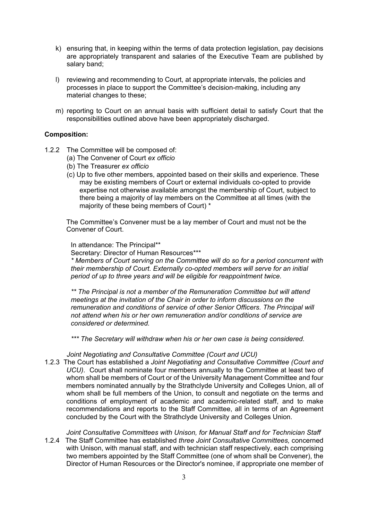- k) ensuring that, in keeping within the terms of data protection legislation, pay decisions are appropriately transparent and salaries of the Executive Team are published by salary band;
- l) reviewing and recommending to Court, at appropriate intervals, the policies and processes in place to support the Committee's decision-making, including any material changes to these;
- m) reporting to Court on an annual basis with sufficient detail to satisfy Court that the responsibilities outlined above have been appropriately discharged.

#### **Composition:**

- 1.2.2 The Committee will be composed of:
	- (a) The Convener of Court *ex officio*
	- (b) The Treasurer *ex officio*
	- (c) Up to five other members, appointed based on their skills and experience. These may be existing members of Court or external individuals co-opted to provide expertise not otherwise available amongst the membership of Court, subject to there being a majority of lay members on the Committee at all times (with the majority of these being members of Court) \*

The Committee's Convener must be a lay member of Court and must not be the Convener of Court.

#### In attendance: The Principal\*\*

Secretary: Director of Human Resources\*\*\*

*\* Members of Court serving on the Committee will do so for a period concurrent with their membership of Court. Externally co-opted members will serve for an initial period of up to three years and will be eligible for reappointment twice*.

*\*\* The Principal is not a member of the Remuneration Committee but will attend meetings at the invitation of the Chair in order to inform discussions on the remuneration and conditions of service of other Senior Officers. The Principal will not attend when his or her own remuneration and/or conditions of service are considered or determined.* 

*\*\*\* The Secretary will withdraw when his or her own case is being considered.* 

*Joint Negotiating and Consultative Committee (Court and UCU)*

- 1.2.3 The Court has established a *Joint Negotiating and Consultative Committee (Court and UCU)*. Court shall nominate four members annually to the Committee at least two of whom shall be members of Court or of the University Management Committee and four members nominated annually by the Strathclyde University and Colleges Union, all of whom shall be full members of the Union, to consult and negotiate on the terms and conditions of employment of academic and academic-related staff, and to make recommendations and reports to the Staff Committee, all in terms of an Agreement concluded by the Court with the Strathclyde University and Colleges Union.
- *Joint Consultative Committees with Unison, for Manual Staff and for Technician Staff* 1.2.4 The Staff Committee has established *three Joint Consultative Committees,* concerned with Unison, with manual staff, and with technician staff respectively, each comprising two members appointed by the Staff Committee (one of whom shall be Convener), the Director of Human Resources or the Director's nominee, if appropriate one member of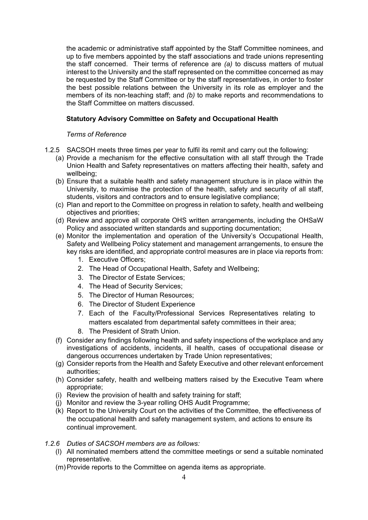the academic or administrative staff appointed by the Staff Committee nominees, and up to five members appointed by the staff associations and trade unions representing the staff concerned. Their terms of reference are *(a)* to discuss matters of mutual interest to the University and the staff represented on the committee concerned as may be requested by the Staff Committee or by the staff representatives, in order to foster the best possible relations between the University in its role as employer and the members of its non-teaching staff; and *(b)* to make reports and recommendations to the Staff Committee on matters discussed.

#### **Statutory Advisory Committee on Safety and Occupational Health**

#### *Terms of Reference*

- 1.2.5 SACSOH meets three times per year to fulfil its remit and carry out the following:
	- (a) Provide a mechanism for the effective consultation with all staff through the Trade Union Health and Safety representatives on matters affecting their health, safety and wellbeing;
	- (b) Ensure that a suitable health and safety management structure is in place within the University, to maximise the protection of the health, safety and security of all staff, students, visitors and contractors and to ensure legislative compliance;
	- (c) Plan and report to the Committee on progress in relation to safety, health and wellbeing objectives and priorities;
	- (d) Review and approve all corporate OHS written arrangements, including the OHSaW Policy and associated written standards and supporting documentation;
	- (e) Monitor the implementation and operation of the University's Occupational Health, Safety and Wellbeing Policy statement and management arrangements, to ensure the key risks are identified, and appropriate control measures are in place via reports from:
		- 1. Executive Officers;
		- 2. The Head of Occupational Health, Safety and Wellbeing;
		- 3. The Director of Estate Services;
		- 4. The Head of Security Services;
		- 5. The Director of Human Resources;
		- 6. The Director of Student Experience
		- 7. Each of the Faculty/Professional Services Representatives relating to matters escalated from departmental safety committees in their area;
		- 8. The President of Strath Union.
	- (f) Consider any findings following health and safety inspections of the workplace and any investigations of accidents, incidents, ill health, cases of occupational disease or dangerous occurrences undertaken by Trade Union representatives;
	- (g) Consider reports from the Health and Safety Executive and other relevant enforcement authorities;
	- (h) Consider safety, health and wellbeing matters raised by the Executive Team where appropriate;
	- (i) Review the provision of health and safety training for staff;
	- (j) Monitor and review the 3-year rolling OHS Audit Programme;
	- (k) Report to the University Court on the activities of the Committee, the effectiveness of the occupational health and safety management system, and actions to ensure its continual improvement.
- *1.2.6 Duties of SACSOH members are as follows:*
	- (l) All nominated members attend the committee meetings or send a suitable nominated representative.
	- (m)Provide reports to the Committee on agenda items as appropriate.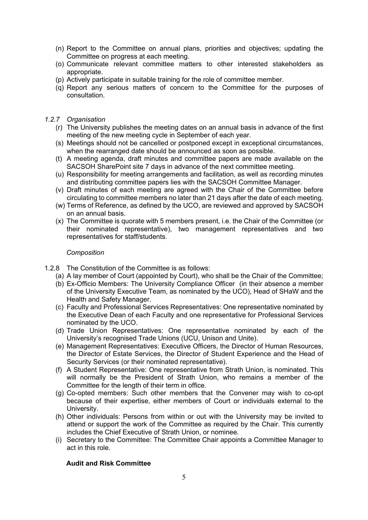- (n) Report to the Committee on annual plans, priorities and objectives; updating the Committee on progress at each meeting.
- (o) Communicate relevant committee matters to other interested stakeholders as appropriate.
- (p) Actively participate in suitable training for the role of committee member.
- (q) Report any serious matters of concern to the Committee for the purposes of consultation.
- *1.2.7 Organisation*
	- (r) The University publishes the meeting dates on an annual basis in advance of the first meeting of the new meeting cycle in September of each year.
	- (s) Meetings should not be cancelled or postponed except in exceptional circumstances, when the rearranged date should be announced as soon as possible.
	- (t) A meeting agenda, draft minutes and committee papers are made available on the SACSOH SharePoint site 7 days in advance of the next committee meeting.
	- (u) Responsibility for meeting arrangements and facilitation, as well as recording minutes and distributing committee papers lies with the SACSOH Committee Manager.
	- (v) Draft minutes of each meeting are agreed with the Chair of the Committee before circulating to committee members no later than 21 days after the date of each meeting.
	- (w) Terms of Reference, as defined by the UCO, are reviewed and approved by SACSOH on an annual basis.
	- (x) The Committee is quorate with 5 members present, i.e. the Chair of the Committee (or their nominated representative), two management representatives and two representatives for staff/students.

#### *Composition*

- 1.2.8 The Constitution of the Committee is as follows:
	- (a) A lay member of Court (appointed by Court), who shall be the Chair of the Committee;
	- (b) Ex-Officio Members: The University Compliance Officer (in their absence a member of the University Executive Team, as nominated by the UCO), Head of SHaW and the Health and Safety Manager.
	- (c) Faculty and Professional Services Representatives: One representative nominated by the Executive Dean of each Faculty and one representative for Professional Services nominated by the UCO.
	- (d) Trade Union Representatives: One representative nominated by each of the University's recognised Trade Unions (UCU, Unison and Unite).
	- (e) Management Representatives: Executive Officers, the Director of Human Resources, the Director of Estate Services, the Director of Student Experience and the Head of Security Services (or their nominated representative).
	- (f) A Student Representative: One representative from Strath Union, is nominated. This will normally be the President of Strath Union, who remains a member of the Committee for the length of their term in office.
	- (g) Co-opted members: Such other members that the Convener may wish to co-opt because of their expertise, either members of Court or individuals external to the University.
	- (h) Other individuals: Persons from within or out with the University may be invited to attend or support the work of the Committee as required by the Chair. This currently includes the Chief Executive of Strath Union, or nominee.
	- (i) Secretary to the Committee: The Committee Chair appoints a Committee Manager to act in this role.

#### **Audit and Risk Committee**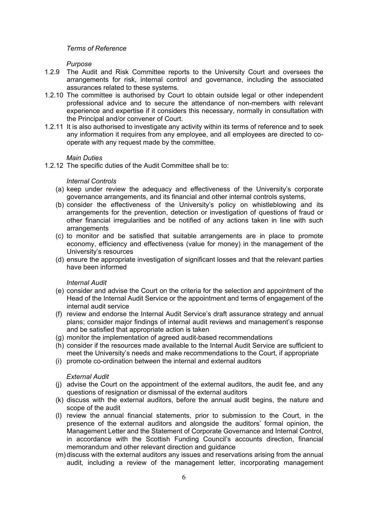#### *Terms of Reference*

#### *Purpose*

- 1.2.9 The Audit and Risk Committee reports to the University Court and oversees the arrangements for risk, internal control and governance, including the associated assurances related to these systems.
- 1.2.10 The committee is authorised by Court to obtain outside legal or other independent professional advice and to secure the attendance of non-members with relevant experience and expertise if it considers this necessary, normally in consultation with the Principal and/or convener of Court.
- 1.2.11 It is also authorised to investigate any activity within its terms of reference and to seek any information it requires from any employee, and all employees are directed to cooperate with any request made by the committee.

#### *Main Duties*

1.2.12 The specific duties of the Audit Committee shall be to:

#### *Internal Controls*

- (a) keep under review the adequacy and effectiveness of the University's corporate governance arrangements, and its financial and other internal controls systems,
- (b) consider the effectiveness of the University's policy on whistleblowing and its arrangements for the prevention, detection or investigation of questions of fraud or other financial irregularities and be notified of any actions taken in line with such **arrangements**
- (c) to monitor and be satisfied that suitable arrangements are in place to promote economy, efficiency and effectiveness (value for money) in the management of the University's resources
- (d) ensure the appropriate investigation of significant losses and that the relevant parties have been informed

#### *Internal Audit*

- (e) consider and advise the Court on the criteria for the selection and appointment of the Head of the Internal Audit Service or the appointment and terms of engagement of the internal audit service
- (f) review and endorse the Internal Audit Service's draft assurance strategy and annual plans; consider major findings of internal audit reviews and management's response and be satisfied that appropriate action is taken
- (g) monitor the implementation of agreed audit-based recommendations
- (h) consider if the resources made available to the Internal Audit Service are sufficient to meet the University's needs and make recommendations to the Court, if appropriate
- (i) promote co-ordination between the internal and external auditors

#### *External Audit*

- (j) advise the Court on the appointment of the external auditors, the audit fee, and any questions of resignation or dismissal of the external auditors
- (k) discuss with the external auditors, before the annual audit begins, the nature and scope of the audit
- (l) review the annual financial statements, prior to submission to the Court, in the presence of the external auditors and alongside the auditors' formal opinion, the Management Letter and the Statement of Corporate Governance and Internal Control, in accordance with the Scottish Funding Council's accounts direction, financial memorandum and other relevant direction and guidance
- (m) discuss with the external auditors any issues and reservations arising from the annual audit, including a review of the management letter, incorporating management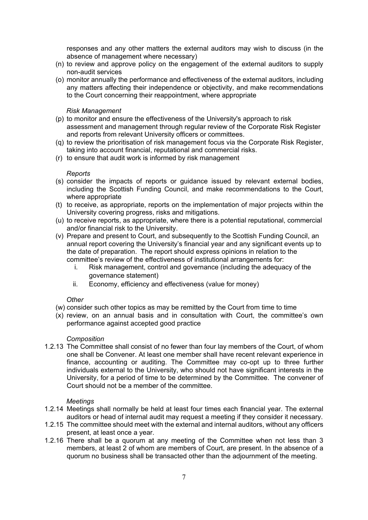responses and any other matters the external auditors may wish to discuss (in the absence of management where necessary)

- (n) to review and approve policy on the engagement of the external auditors to supply non-audit services
- (o) monitor annually the performance and effectiveness of the external auditors, including any matters affecting their independence or objectivity, and make recommendations to the Court concerning their reappointment, where appropriate

#### *Risk Management*

- (p) to monitor and ensure the effectiveness of the University's approach to risk assessment and management through regular review of the Corporate Risk Register and reports from relevant University officers or committees.
- (q) to review the prioritisation of risk management focus via the Corporate Risk Register, taking into account financial, reputational and commercial risks.
- (r) to ensure that audit work is informed by risk management

#### *Reports*

- (s) consider the impacts of reports or guidance issued by relevant external bodies, including the Scottish Funding Council, and make recommendations to the Court, where appropriate
- (t) to receive, as appropriate, reports on the implementation of major projects within the University covering progress, risks and mitigations.
- (u) to receive reports, as appropriate, where there is a potential reputational, commercial and/or financial risk to the University.
- (v) Prepare and present to Court, and subsequently to the Scottish Funding Council, an annual report covering the University's financial year and any significant events up to the date of preparation. The report should express opinions in relation to the committee's review of the effectiveness of institutional arrangements for:
	- i. Risk management, control and governance (including the adequacy of the governance statement)
	- ii. Economy, efficiency and effectiveness (value for money)

#### *Other*

- (w) consider such other topics as may be remitted by the Court from time to time
- (x) review, on an annual basis and in consultation with Court, the committee's own performance against accepted good practice

#### *Composition*

1.2.13 The Committee shall consist of no fewer than four lay members of the Court, of whom one shall be Convener. At least one member shall have recent relevant experience in finance, accounting or auditing. The Committee may co-opt up to three further individuals external to the University, who should not have significant interests in the University, for a period of time to be determined by the Committee. The convener of Court should not be a member of the committee.

#### *Meetings*

- 1.2.14 Meetings shall normally be held at least four times each financial year. The external auditors or head of internal audit may request a meeting if they consider it necessary.
- 1.2.15 The committee should meet with the external and internal auditors, without any officers present, at least once a year.
- 1.2.16 There shall be a quorum at any meeting of the Committee when not less than 3 members, at least 2 of whom are members of Court, are present. In the absence of a quorum no business shall be transacted other than the adjournment of the meeting.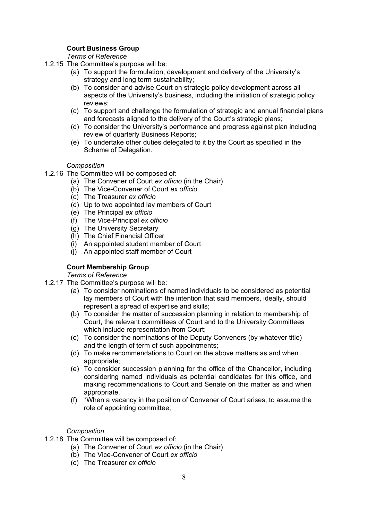#### **Court Business Group**

#### *Terms of Reference*

- 1.2.15 The Committee's purpose will be:
	- (a) To support the formulation, development and delivery of the University's strategy and long term sustainability;
	- (b) To consider and advise Court on strategic policy development across all aspects of the University's business, including the initiation of strategic policy reviews;
	- (c) To support and challenge the formulation of strategic and annual financial plans and forecasts aligned to the delivery of the Court's strategic plans;
	- (d) To consider the University's performance and progress against plan including review of quarterly Business Reports;
	- (e) To undertake other duties delegated to it by the Court as specified in the Scheme of Delegation.

#### *Composition*

- 1.2.16 The Committee will be composed of:
	- (a) The Convener of Court *ex officio* (in the Chair)
	- (b) The Vice-Convener of Court *ex officio*
	- (c) The Treasurer *ex officio*
	- (d) Up to two appointed lay members of Court
	- (e) The Principal *ex officio*
	- (f) The Vice-Principal *ex officio*
	- (g) The University Secretary
	- (h) The Chief Financial Officer
	- (i) An appointed student member of Court
	- (j) An appointed staff member of Court

#### **Court Membership Group**

#### *Terms of Reference*

- 1.2.17 The Committee's purpose will be:
	- (a) To consider nominations of named individuals to be considered as potential lay members of Court with the intention that said members, ideally, should represent a spread of expertise and skills;
	- (b) To consider the matter of succession planning in relation to membership of Court, the relevant committees of Court and to the University Committees which include representation from Court;
	- (c) To consider the nominations of the Deputy Conveners (by whatever title) and the length of term of such appointments;
	- (d) To make recommendations to Court on the above matters as and when appropriate;
	- (e) To consider succession planning for the office of the Chancellor, including considering named individuals as potential candidates for this office, and making recommendations to Court and Senate on this matter as and when appropriate.
	- (f) \*When a vacancy in the position of Convener of Court arises, to assume the role of appointing committee;

#### *Composition*

- 1.2.18 The Committee will be composed of:
	- (a) The Convener of Court *ex officio* (in the Chair)
	- (b) The Vice-Convener of Court *ex officio*
	- (c) The Treasurer *ex officio*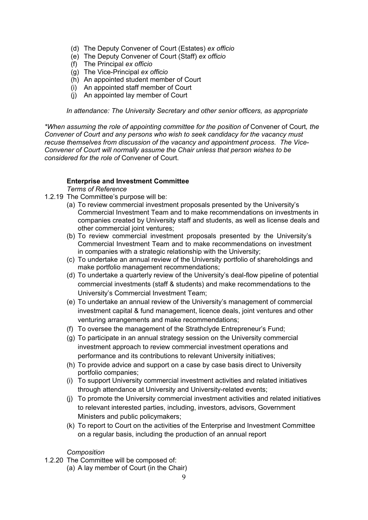- (d) The Deputy Convener of Court (Estates) *ex officio*
- (e) The Deputy Convener of Court (Staff) *ex officio*
- (f) The Principal *ex officio*
- (g) The Vice-Principal *ex officio*
- (h) An appointed student member of Court
- (i) An appointed staff member of Court
- (j) An appointed lay member of Court

*In attendance: The University Secretary and other senior officers, as appropriate*

*\*When assuming the role of appointing committee for the position of* Convener of Court*, the Convener of Court and any persons who wish to seek candidacy for the vacancy must recuse themselves from discussion of the vacancy and appointment process. The Vice-Convener of Court will normally assume the Chair unless that person wishes to be considered for the role of* Convener of Court.

# **Enterprise and Investment Committee**

*Terms of Reference*

- 1.2.19 The Committee's purpose will be:
	- (a) To review commercial investment proposals presented by the University's Commercial Investment Team and to make recommendations on investments in companies created by University staff and students, as well as license deals and other commercial joint ventures;
	- (b) To review commercial investment proposals presented by the University's Commercial Investment Team and to make recommendations on investment in companies with a strategic relationship with the University;
	- (c) To undertake an annual review of the University portfolio of shareholdings and make portfolio management recommendations;
	- (d) To undertake a quarterly review of the University's deal-flow pipeline of potential commercial investments (staff & students) and make recommendations to the University's Commercial Investment Team;
	- (e) To undertake an annual review of the University's management of commercial investment capital & fund management, licence deals, joint ventures and other venturing arrangements and make recommendations;
	- (f) To oversee the management of the Strathclyde Entrepreneur's Fund;
	- (g) To participate in an annual strategy session on the University commercial investment approach to review commercial investment operations and performance and its contributions to relevant University initiatives;
	- (h) To provide advice and support on a case by case basis direct to University portfolio companies;
	- (i) To support University commercial investment activities and related initiatives through attendance at University and University-related events;
	- (j) To promote the University commercial investment activities and related initiatives to relevant interested parties, including, investors, advisors, Government Ministers and public policymakers;
	- (k) To report to Court on the activities of the Enterprise and Investment Committee on a regular basis, including the production of an annual report

#### *Composition*

- 1.2.20 The Committee will be composed of:
	- (a) A lay member of Court (in the Chair)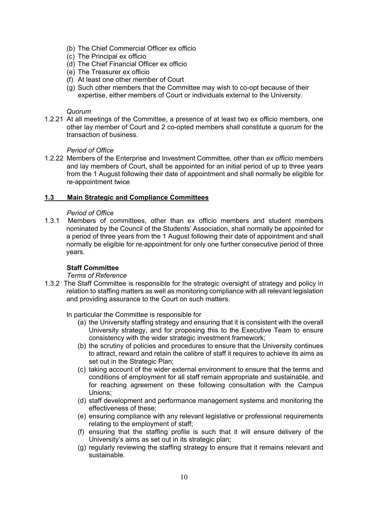- (b) The Chief Commercial Officer ex officio
- (c) The Principal ex officio
- (d) The Chief Financial Officer ex officio
- (e) The Treasurer ex officio
- (f) At least one other member of Court
- (g) Such other members that the Committee may wish to co-opt because of their expertise, either members of Court or individuals external to the University.

#### *Quorum*

1.2.21 At all meetings of the Committee, a presence of at least two ex officio members, one other lay member of Court and 2 co-opted members shall constitute a quorum for the transaction of business.

#### *Period of Office*

1.2.22 Members of the Enterprise and Investment Committee, other than *ex officio* members and lay members of Court, shall be appointed for an initial period of up to three years from the 1 August following their date of appointment and shall normally be eligible for re-appointment twice

#### **1.3 Main Strategic and Compliance Committees**

#### *Period of Office*

1.3.1 Members of committees, other than ex officio members and student members nominated by the Council of the Students' Association, shall normally be appointed for a period of three years from the 1 August following their date of appointment and shall normally be eligible for re-appointment for only one further consecutive period of three years.

#### **Staff Committee**

#### *Terms of Reference*

- 1.3.2 The Staff Committee is responsible for the strategic oversight of strategy and policy in relation to staffing matters as well as monitoring compliance with all relevant legislation and providing assurance to the Court on such matters.
	- In particular the Committee is responsible for
		- (a) the University staffing strategy and ensuring that it is consistent with the overall University strategy, and for proposing this to the Executive Team to ensure consistency with the wider strategic investment framework;
		- (b) the scrutiny of policies and procedures to ensure that the University continues to attract, reward and retain the calibre of staff it requires to achieve its aims as set out in the Strategic Plan;
		- (c) taking account of the wider external environment to ensure that the terms and conditions of employment for all staff remain appropriate and sustainable, and for reaching agreement on these following consultation with the Campus Unions;
		- (d) staff development and performance management systems and monitoring the effectiveness of these;
		- (e) ensuring compliance with any relevant legislative or professional requirements relating to the employment of staff;
		- (f) ensuring that the staffing profile is such that it will ensure delivery of the University's aims as set out in its strategic plan;
		- (g) regularly reviewing the staffing strategy to ensure that it remains relevant and sustainable.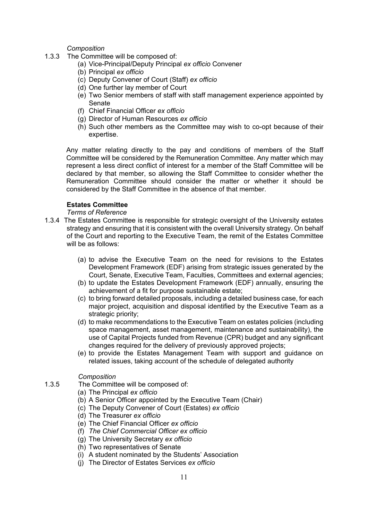*Composition*

- 1.3.3 The Committee will be composed of:
	- (a) Vice-Principal/Deputy Principal *ex officio* Convener
	- (b) Principal *ex officio*
	- (c) Deputy Convener of Court (Staff) *ex officio*
	- (d) One further lay member of Court
	- (e) Two Senior members of staff with staff management experience appointed by Senate
	- (f) Chief Financial Officer *ex officio*
	- (g) Director of Human Resources *ex officio*
	- (h) Such other members as the Committee may wish to co-opt because of their expertise.

Any matter relating directly to the pay and conditions of members of the Staff Committee will be considered by the Remuneration Committee. Any matter which may represent a less direct conflict of interest for a member of the Staff Committee will be declared by that member, so allowing the Staff Committee to consider whether the Remuneration Committee should consider the matter or whether it should be considered by the Staff Committee in the absence of that member.

#### **Estates Committee**

*Terms of Reference*

- 1.3.4 The Estates Committee is responsible for strategic oversight of the University estates strategy and ensuring that it is consistent with the overall University strategy. On behalf of the Court and reporting to the Executive Team, the remit of the Estates Committee will be as follows:
	- (a) to advise the Executive Team on the need for revisions to the Estates Development Framework (EDF) arising from strategic issues generated by the Court, Senate, Executive Team, Faculties, Committees and external agencies;
	- (b) to update the Estates Development Framework (EDF) annually, ensuring the achievement of a fit for purpose sustainable estate;
	- (c) to bring forward detailed proposals, including a detailed business case, for each major project, acquisition and disposal identified by the Executive Team as a strategic priority;
	- (d) to make recommendations to the Executive Team on estates policies (including space management, asset management, maintenance and sustainability), the use of Capital Projects funded from Revenue (CPR) budget and any significant changes required for the delivery of previously approved projects;
	- (e) to provide the Estates Management Team with support and guidance on related issues, taking account of the schedule of delegated authority

#### *Composition*

- 1.3.5 The Committee will be composed of:
	- (a) The Principal *ex officio*
	- (b) A Senior Officer appointed by the Executive Team (Chair)
	- (c) The Deputy Convener of Court (Estates) *ex officio*
	- (d) The Treasurer *ex officio*
	- (e) The Chief Financial Officer *ex officio*
	- (f) *The Chief Commercial Officer ex officio*
	- (g) The University Secretary *ex officio*
	- (h) Two representatives of Senate
	- (i) A student nominated by the Students' Association
	- (j) The Director of Estates Services *ex officio*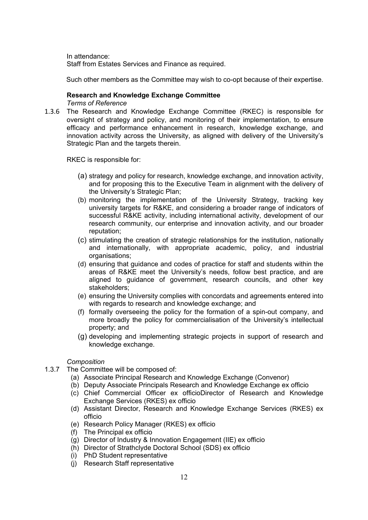In attendance: Staff from Estates Services and Finance as required.

Such other members as the Committee may wish to co-opt because of their expertise.

#### **Research and Knowledge Exchange Committee** *Terms of Reference*

1.3.6 The Research and Knowledge Exchange Committee (RKEC) is responsible for oversight of strategy and policy, and monitoring of their implementation, to ensure efficacy and performance enhancement in research, knowledge exchange, and innovation activity across the University, as aligned with delivery of the University's Strategic Plan and the targets therein.

RKEC is responsible for:

- (a) strategy and policy for research, knowledge exchange, and innovation activity, and for proposing this to the Executive Team in alignment with the delivery of the University's Strategic Plan;
- (b) monitoring the implementation of the University Strategy, tracking key university targets for R&KE, and considering a broader range of indicators of successful R&KE activity, including international activity, development of our research community, our enterprise and innovation activity, and our broader reputation;
- (c) stimulating the creation of strategic relationships for the institution, nationally and internationally, with appropriate academic, policy, and industrial organisations;
- (d) ensuring that guidance and codes of practice for staff and students within the areas of R&KE meet the University's needs, follow best practice, and are aligned to guidance of government, research councils, and other key stakeholders;
- (e) ensuring the University complies with concordats and agreements entered into with regards to research and knowledge exchange; and
- (f) formally overseeing the policy for the formation of a spin-out company, and more broadly the policy for commercialisation of the University's intellectual property; and
- (g) developing and implementing strategic projects in support of research and knowledge exchange.

#### *Composition*

- 1.3.7 The Committee will be composed of:
	- (a) Associate Principal Research and Knowledge Exchange (Convenor)
	- (b) Deputy Associate Principals Research and Knowledge Exchange ex officio
	- (c) Chief Commercial Officer ex officioDirector of Research and Knowledge Exchange Services (RKES) ex officio
	- (d) Assistant Director, Research and Knowledge Exchange Services (RKES) ex officio
	- (e) Research Policy Manager (RKES) ex officio
	- (f) The Principal ex officio
	- (g) Director of Industry & Innovation Engagement (IIE) ex officio
	- (h) Director of Strathclyde Doctoral School (SDS) ex officio
	- (i) PhD Student representative
	- (j) Research Staff representative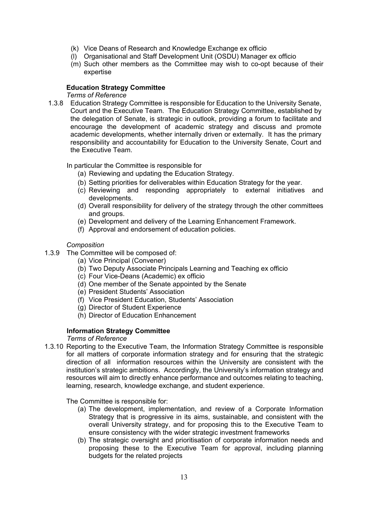- (k) Vice Deans of Research and Knowledge Exchange ex officio
- (l) Organisational and Staff Development Unit (OSDU) Manager ex officio
- (m) Such other members as the Committee may wish to co-opt because of their expertise

#### **Education Strategy Committee**

#### *Terms of Reference*

1.3.8 Education Strategy Committee is responsible for Education to the University Senate, Court and the Executive Team. The Education Strategy Committee, established by the delegation of Senate, is strategic in outlook, providing a forum to facilitate and encourage the development of academic strategy and discuss and promote academic developments, whether internally driven or externally. It has the primary responsibility and accountability for Education to the University Senate, Court and the Executive Team.

In particular the Committee is responsible for

- (a) Reviewing and updating the Education Strategy.
- (b) Setting priorities for deliverables within Education Strategy for the year.
- (c) Reviewing and responding appropriately to external initiatives and developments.
- (d) Overall responsibility for delivery of the strategy through the other committees and groups.
- (e) Development and delivery of the Learning Enhancement Framework.
- (f) Approval and endorsement of education policies.

#### *Composition*

- 1.3.9 The Committee will be composed of:
	- (a) Vice Principal (Convener)
	- (b) Two Deputy Associate Principals Learning and Teaching ex officio
	- (c) Four Vice-Deans (Academic) ex officio
	- (d) One member of the Senate appointed by the Senate
	- (e) President Students' Association
	- (f) Vice President Education, Students' Association
	- (g) Director of Student Experience
	- (h) Director of Education Enhancement

#### **Information Strategy Committee**

#### *Terms of Reference*

1.3.10 Reporting to the Executive Team, the Information Strategy Committee is responsible for all matters of corporate information strategy and for ensuring that the strategic direction of all information resources within the University are consistent with the institution's strategic ambitions. Accordingly, the University's information strategy and resources will aim to directly enhance performance and outcomes relating to teaching, learning, research, knowledge exchange, and student experience.

#### The Committee is responsible for:

- (a) The development, implementation, and review of a Corporate Information Strategy that is progressive in its aims, sustainable, and consistent with the overall University strategy, and for proposing this to the Executive Team to ensure consistency with the wider strategic investment frameworks
- (b) The strategic oversight and prioritisation of corporate information needs and proposing these to the Executive Team for approval, including planning budgets for the related projects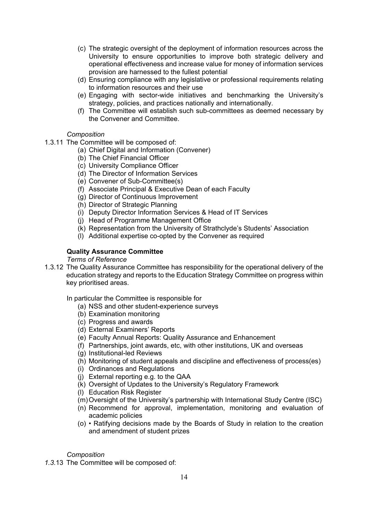- (c) The strategic oversight of the deployment of information resources across the University to ensure opportunities to improve both strategic delivery and operational effectiveness and increase value for money of information services provision are harnessed to the fullest potential
- (d) Ensuring compliance with any legislative or professional requirements relating to information resources and their use
- (e) Engaging with sector-wide initiatives and benchmarking the University's strategy, policies, and practices nationally and internationally.
- (f) The Committee will establish such sub-committees as deemed necessary by the Convener and Committee.

#### *Composition*

- 1.3.11 The Committee will be composed of:
	- (a) Chief Digital and Information (Convener)
	- (b) The Chief Financial Officer
	- (c) University Compliance Officer
	- (d) The Director of Information Services
	- (e) Convener of Sub-Committee(s)
	- (f) Associate Principal & Executive Dean of each Faculty
	- (g) Director of Continuous Improvement
	- (h) Director of Strategic Planning
	- (i) Deputy Director Information Services & Head of IT Services
	- (j) Head of Programme Management Office
	- (k) Representation from the University of Strathclyde's Students' Association
	- (l) Additional expertise co-opted by the Convener as required

#### **Quality Assurance Committee**

*Terms of Reference*

1.3.12 The Quality Assurance Committee has responsibility for the operational delivery of the education strategy and reports to the Education Strategy Committee on progress within key prioritised areas.

In particular the Committee is responsible for

- (a) NSS and other student-experience surveys
- (b) Examination monitoring
- (c) Progress and awards
- (d) External Examiners' Reports
- (e) Faculty Annual Reports: Quality Assurance and Enhancement
- (f) Partnerships, joint awards, etc, with other institutions, UK and overseas
- (g) Institutional-led Reviews
- (h) Monitoring of student appeals and discipline and effectiveness of process(es)
- (i) Ordinances and Regulations
- (j) External reporting e.g. to the QAA
- (k) Oversight of Updates to the University's Regulatory Framework
- (l) Education Risk Register
- (m)Oversight of the University's partnership with International Study Centre (ISC)
- (n) Recommend for approval, implementation, monitoring and evaluation of academic policies
- (o) Ratifying decisions made by the Boards of Study in relation to the creation and amendment of student prizes

#### *Composition*

*1.3.*13 The Committee will be composed of: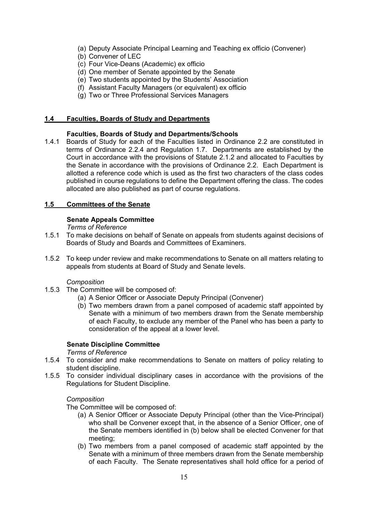- (a) Deputy Associate Principal Learning and Teaching ex officio (Convener)
- (b) Convener of LEC
- (c) Four Vice-Deans (Academic) ex officio
- (d) One member of Senate appointed by the Senate
- (e) Two students appointed by the Students' Association
- (f) Assistant Faculty Managers (or equivalent) ex officio
- (g) Two or Three Professional Services Managers

#### **1.4 Faculties, Boards of Study and Departments**

#### **Faculties, Boards of Study and Departments/Schools**

1.4.1 Boards of Study for each of the Faculties listed in Ordinance 2.2 are constituted in terms of Ordinance 2.2.4 and Regulation 1.7. Departments are established by the Court in accordance with the provisions of Statute 2.1.2 and allocated to Faculties by the Senate in accordance with the provisions of Ordinance 2.2. Each Department is allotted a reference code which is used as the first two characters of the class codes published in course regulations to define the Department offering the class. The codes allocated are also published as part of course regulations.

#### **1.5 Committees of the Senate**

#### **Senate Appeals Committee**

*Terms of Reference*

- 1.5.1 To make decisions on behalf of Senate on appeals from students against decisions of Boards of Study and Boards and Committees of Examiners.
- 1.5.2 To keep under review and make recommendations to Senate on all matters relating to appeals from students at Board of Study and Senate levels.

#### *Composition*

- 1.5.3 The Committee will be composed of:
	- (a) A Senior Officer or Associate Deputy Principal (Convener)
	- (b) Two members drawn from a panel composed of academic staff appointed by Senate with a minimum of two members drawn from the Senate membership of each Faculty, to exclude any member of the Panel who has been a party to consideration of the appeal at a lower level.

#### **Senate Discipline Committee**

#### *Terms of Reference*

- 1.5.4 To consider and make recommendations to Senate on matters of policy relating to student discipline.
- 1.5.5 To consider individual disciplinary cases in accordance with the provisions of the Regulations for Student Discipline.

#### *Composition*

The Committee will be composed of:

- (a) A Senior Officer or Associate Deputy Principal (other than the Vice-Principal) who shall be Convener except that, in the absence of a Senior Officer, one of the Senate members identified in (b) below shall be elected Convener for that meeting;
- (b) Two members from a panel composed of academic staff appointed by the Senate with a minimum of three members drawn from the Senate membership of each Faculty. The Senate representatives shall hold office for a period of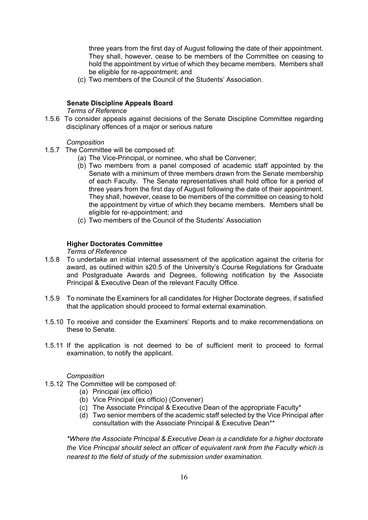three years from the first day of August following the date of their appointment. They shall, however, cease to be members of the Committee on ceasing to hold the appointment by virtue of which they became members. Members shall be eligible for re-appointment; and

(c) Two members of the Council of the Students' Association.

#### **Senate Discipline Appeals Board**

*Terms of Reference*

1.5.6 To consider appeals against decisions of the Senate Discipline Committee regarding disciplinary offences of a major or serious nature

#### *Composition*

- 1.5.7 The Committee will be composed of:
	- (a) The Vice-Principal, or nominee, who shall be Convener;
	- (b) Two members from a panel composed of academic staff appointed by the Senate with a minimum of three members drawn from the Senate membership of each Faculty. The Senate representatives shall hold office for a period of three years from the first day of August following the date of their appointment. They shall, however, cease to be members of the committee on ceasing to hold the appointment by virtue of which they became members. Members shall be eligible for re-appointment; and
	- (c) Two members of the Council of the Students' Association

#### **Higher Doctorates Committee**

#### *Terms of Reference*

- 1.5.8 To undertake an initial internal assessment of the application against the criteria for award, as outlined within s20.5 of the University's Course Regulations for Graduate and Postgraduate Awards and Degrees, following notification by the Associate Principal & Executive Dean of the relevant Faculty Office.
- 1.5.9 To nominate the Examiners for all candidates for Higher Doctorate degrees, if satisfied that the application should proceed to formal external examination.
- 1.5.10 To receive and consider the Examiners' Reports and to make recommendations on these to Senate.
- 1.5.11 If the application is not deemed to be of sufficient merit to proceed to formal examination, to notify the applicant.

#### *Composition*

- 1.5.12 The Committee will be composed of:
	- (a) Principal (ex officio)
	- (b) Vice Principal (ex officio) (Convener)
	- (c) The Associate Principal & Executive Dean of the appropriate Faculty\*
	- (d) Two senior members of the academic staff selected by the Vice Principal after consultation with the Associate Principal & Executive Dean\*\*

*\*Where the Associate Principal & Executive Dean is a candidate for a higher doctorate the Vice Principal should select an officer of equivalent rank from the Faculty which is nearest to the field of study of the submission under examination.*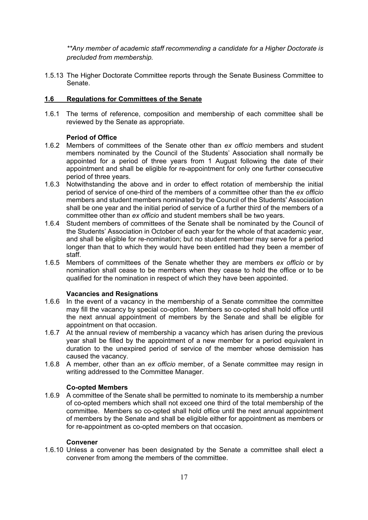*\*\*Any member of academic staff recommending a candidate for a Higher Doctorate is precluded from membership.* 

1.5.13 The Higher Doctorate Committee reports through the Senate Business Committee to Senate.

#### **1.6 Regulations for Committees of the Senate**

1.6.1 The terms of reference, composition and membership of each committee shall be reviewed by the Senate as appropriate.

#### **Period of Office**

- 1.6.2 Members of committees of the Senate other than *ex officio* members and student members nominated by the Council of the Students' Association shall normally be appointed for a period of three years from 1 August following the date of their appointment and shall be eligible for re-appointment for only one further consecutive period of three years.
- 1.6.3 Notwithstanding the above and in order to effect rotation of membership the initial period of service of one-third of the members of a committee other than the *ex officio* members and student members nominated by the Council of the Students' Association shall be one year and the initial period of service of a further third of the members of a committee other than *ex officio* and student members shall be two years.
- 1.6.4 Student members of committees of the Senate shall be nominated by the Council of the Students' Association in October of each year for the whole of that academic year, and shall be eligible for re-nomination; but no student member may serve for a period longer than that to which they would have been entitled had they been a member of staff.
- 1.6.5 Members of committees of the Senate whether they are members *ex officio* or by nomination shall cease to be members when they cease to hold the office or to be qualified for the nomination in respect of which they have been appointed.

#### **Vacancies and Resignations**

- 1.6.6 In the event of a vacancy in the membership of a Senate committee the committee may fill the vacancy by special co-option. Members so co-opted shall hold office until the next annual appointment of members by the Senate and shall be eligible for appointment on that occasion.
- 1.6.7 At the annual review of membership a vacancy which has arisen during the previous year shall be filled by the appointment of a new member for a period equivalent in duration to the unexpired period of service of the member whose demission has caused the vacancy.
- 1.6.8 A member, other than an *ex officio* member, of a Senate committee may resign in writing addressed to the Committee Manager.

#### **Co-opted Members**

1.6.9 A committee of the Senate shall be permitted to nominate to its membership a number of co-opted members which shall not exceed one third of the total membership of the committee. Members so co-opted shall hold office until the next annual appointment of members by the Senate and shall be eligible either for appointment as members or for re-appointment as co-opted members on that occasion.

#### **Convener**

1.6.10 Unless a convener has been designated by the Senate a committee shall elect a convener from among the members of the committee.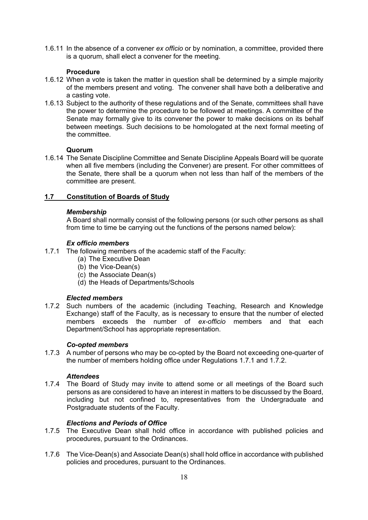1.6.11 In the absence of a convener *ex officio* or by nomination, a committee, provided there is a quorum, shall elect a convener for the meeting.

#### **Procedure**

- 1.6.12 When a vote is taken the matter in question shall be determined by a simple majority of the members present and voting. The convener shall have both a deliberative and a casting vote.
- 1.6.13 Subject to the authority of these regulations and of the Senate, committees shall have the power to determine the procedure to be followed at meetings. A committee of the Senate may formally give to its convener the power to make decisions on its behalf between meetings. Such decisions to be homologated at the next formal meeting of the committee.

#### **Quorum**

1.6.14 The Senate Discipline Committee and Senate Discipline Appeals Board will be quorate when all five members (including the Convener) are present. For other committees of the Senate, there shall be a quorum when not less than half of the members of the committee are present.

#### **1.7 Constitution of Boards of Study**

#### *Membership*

A Board shall normally consist of the following persons (or such other persons as shall from time to time be carrying out the functions of the persons named below):

#### *Ex officio members*

- 1.7.1 The following members of the academic staff of the Faculty:
	- (a) The Executive Dean
	- (b) the Vice-Dean(s)
	- (c) the Associate Dean(s)
	- (d) the Heads of Departments/Schools

#### *Elected members*

1.7.2 Such numbers of the academic (including Teaching, Research and Knowledge Exchange) staff of the Faculty, as is necessary to ensure that the number of elected members exceeds the number of *ex-officio* members and that each Department/School has appropriate representation.

#### *Co-opted members*

1.7.3 A number of persons who may be co-opted by the Board not exceeding one-quarter of the number of members holding office under Regulations 1.7.1 and 1.7.2.

#### *Attendees*

1.7.4 The Board of Study may invite to attend some or all meetings of the Board such persons as are considered to have an interest in matters to be discussed by the Board, including but not confined to, representatives from the Undergraduate and Postgraduate students of the Faculty.

#### *Elections and Periods of Office*

- 1.7.5 The Executive Dean shall hold office in accordance with published policies and procedures, pursuant to the Ordinances.
- 1.7.6 The Vice-Dean(s) and Associate Dean(s) shall hold office in accordance with published policies and procedures, pursuant to the Ordinances.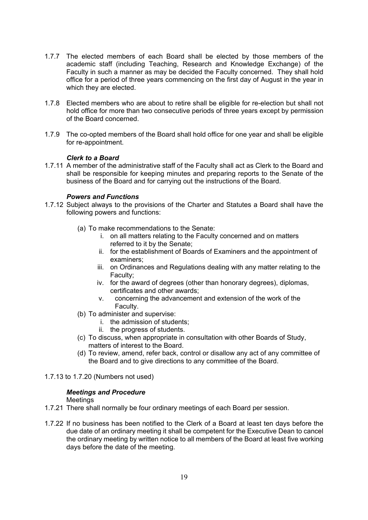- 1.7.7 The elected members of each Board shall be elected by those members of the academic staff (including Teaching, Research and Knowledge Exchange) of the Faculty in such a manner as may be decided the Faculty concerned. They shall hold office for a period of three years commencing on the first day of August in the year in which they are elected.
- 1.7.8 Elected members who are about to retire shall be eligible for re-election but shall not hold office for more than two consecutive periods of three years except by permission of the Board concerned.
- 1.7.9 The co-opted members of the Board shall hold office for one year and shall be eligible for re-appointment.

#### *Clerk to a Board*

1.7.11 A member of the administrative staff of the Faculty shall act as Clerk to the Board and shall be responsible for keeping minutes and preparing reports to the Senate of the business of the Board and for carrying out the instructions of the Board.

#### *Powers and Functions*

- 1.7.12 Subject always to the provisions of the Charter and Statutes a Board shall have the following powers and functions:
	- (a) To make recommendations to the Senate:
		- i. on all matters relating to the Faculty concerned and on matters referred to it by the Senate;
		- ii. for the establishment of Boards of Examiners and the appointment of examiners;
		- iii. on Ordinances and Regulations dealing with any matter relating to the Faculty;
		- iv. for the award of degrees (other than honorary degrees), diplomas, certificates and other awards;
		- v. concerning the advancement and extension of the work of the Faculty.
	- (b) To administer and supervise:
		- i. the admission of students;
		- ii. the progress of students.
	- (c) To discuss, when appropriate in consultation with other Boards of Study, matters of interest to the Board.
	- (d) To review, amend, refer back, control or disallow any act of any committee of the Board and to give directions to any committee of the Board.
- 1.7.13 to 1.7.20 (Numbers not used)

#### *Meetings and Procedure*

#### **Meetings**

- 1.7.21 There shall normally be four ordinary meetings of each Board per session.
- 1.7.22 If no business has been notified to the Clerk of a Board at least ten days before the due date of an ordinary meeting it shall be competent for the Executive Dean to cancel the ordinary meeting by written notice to all members of the Board at least five working days before the date of the meeting.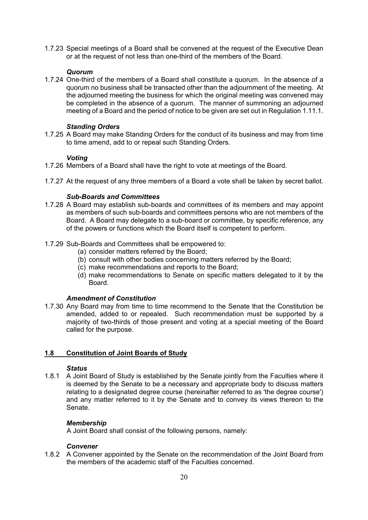1.7.23 Special meetings of a Board shall be convened at the request of the Executive Dean or at the request of not less than one-third of the members of the Board.

#### *Quorum*

1.7.24 One-third of the members of a Board shall constitute a quorum. In the absence of a quorum no business shall be transacted other than the adjournment of the meeting. At the adjourned meeting the business for which the original meeting was convened may be completed in the absence of a quorum. The manner of summoning an adjourned meeting of a Board and the period of notice to be given are set out in Regulation 1.11.1.

#### *Standing Orders*

1.7.25 A Board may make Standing Orders for the conduct of its business and may from time to time amend, add to or repeal such Standing Orders.

#### *Voting*

- 1.7.26 Members of a Board shall have the right to vote at meetings of the Board.
- 1.7.27 At the request of any three members of a Board a vote shall be taken by secret ballot.

#### *Sub-Boards and Committees*

- 1.7.28 A Board may establish sub-boards and committees of its members and may appoint as members of such sub-boards and committees persons who are not members of the Board. A Board may delegate to a sub-board or committee, by specific reference, any of the powers or functions which the Board itself is competent to perform.
- 1.7.29 Sub-Boards and Committees shall be empowered to:
	- (a) consider matters referred by the Board;
	- (b) consult with other bodies concerning matters referred by the Board;
	- (c) make recommendations and reports to the Board;
	- (d) make recommendations to Senate on specific matters delegated to it by the Board.

#### *Amendment of Constitution*

1.7.30 Any Board may from time to time recommend to the Senate that the Constitution be amended, added to or repealed. Such recommendation must be supported by a majority of two-thirds of those present and voting at a special meeting of the Board called for the purpose.

#### **1.8 Constitution of Joint Boards of Study**

#### *Status*

1.8.1 A Joint Board of Study is established by the Senate jointly from the Faculties where it is deemed by the Senate to be a necessary and appropriate body to discuss matters relating to a designated degree course (hereinafter referred to as 'the degree course') and any matter referred to it by the Senate and to convey its views thereon to the Senate.

#### *Membership*

A Joint Board shall consist of the following persons, namely:

#### *Convener*

1.8.2 A Convener appointed by the Senate on the recommendation of the Joint Board from the members of the academic staff of the Faculties concerned.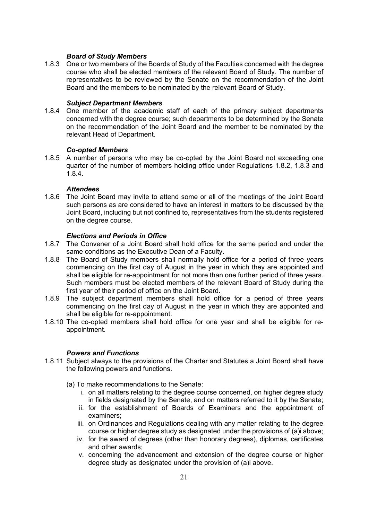#### *Board of Study Members*

1.8.3 One or two members of the Boards of Study of the Faculties concerned with the degree course who shall be elected members of the relevant Board of Study. The number of representatives to be reviewed by the Senate on the recommendation of the Joint Board and the members to be nominated by the relevant Board of Study.

#### *Subject Department Members*

1.8.4 One member of the academic staff of each of the primary subject departments concerned with the degree course; such departments to be determined by the Senate on the recommendation of the Joint Board and the member to be nominated by the relevant Head of Department.

#### *Co-opted Members*

1.8.5 A number of persons who may be co-opted by the Joint Board not exceeding one quarter of the number of members holding office under Regulations 1.8.2, 1.8.3 and 1.8.4.

#### *Attendees*

1.8.6 The Joint Board may invite to attend some or all of the meetings of the Joint Board such persons as are considered to have an interest in matters to be discussed by the Joint Board, including but not confined to, representatives from the students registered on the degree course.

#### *Elections and Periods in Office*

- 1.8.7 The Convener of a Joint Board shall hold office for the same period and under the same conditions as the Executive Dean of a Faculty.
- 1.8.8 The Board of Study members shall normally hold office for a period of three years commencing on the first day of August in the year in which they are appointed and shall be eligible for re-appointment for not more than one further period of three years. Such members must be elected members of the relevant Board of Study during the first year of their period of office on the Joint Board.
- 1.8.9 The subject department members shall hold office for a period of three years commencing on the first day of August in the year in which they are appointed and shall be eligible for re-appointment.
- 1.8.10 The co-opted members shall hold office for one year and shall be eligible for reappointment.

#### *Powers and Functions*

- 1.8.11 Subject always to the provisions of the Charter and Statutes a Joint Board shall have the following powers and functions.
	- (a) To make recommendations to the Senate:
		- i. on all matters relating to the degree course concerned, on higher degree study in fields designated by the Senate, and on matters referred to it by the Senate;
		- ii. for the establishment of Boards of Examiners and the appointment of examiners;
		- iii. on Ordinances and Regulations dealing with any matter relating to the degree course or higher degree study as designated under the provisions of (a)i above;
		- iv. for the award of degrees (other than honorary degrees), diplomas, certificates and other awards;
		- v. concerning the advancement and extension of the degree course or higher degree study as designated under the provision of (a)i above.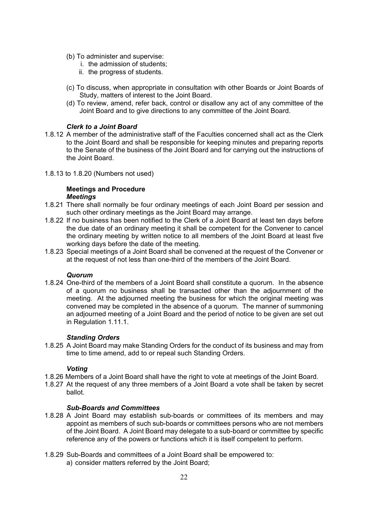- (b) To administer and supervise:
	- i. the admission of students;
	- ii. the progress of students.
- (c) To discuss, when appropriate in consultation with other Boards or Joint Boards of Study, matters of interest to the Joint Board.
- (d) To review, amend, refer back, control or disallow any act of any committee of the Joint Board and to give directions to any committee of the Joint Board.

#### *Clerk to a Joint Board*

- 1.8.12 A member of the administrative staff of the Faculties concerned shall act as the Clerk to the Joint Board and shall be responsible for keeping minutes and preparing reports to the Senate of the business of the Joint Board and for carrying out the instructions of the Joint Board.
- 1.8.13 to 1.8.20 (Numbers not used)

#### **Meetings and Procedure** *Meetings*

- 1.8.21 There shall normally be four ordinary meetings of each Joint Board per session and such other ordinary meetings as the Joint Board may arrange.
- 1.8.22 If no business has been notified to the Clerk of a Joint Board at least ten days before the due date of an ordinary meeting it shall be competent for the Convener to cancel the ordinary meeting by written notice to all members of the Joint Board at least five working days before the date of the meeting.
- 1.8.23 Special meetings of a Joint Board shall be convened at the request of the Convener or at the request of not less than one-third of the members of the Joint Board.

#### *Quorum*

1.8.24 One-third of the members of a Joint Board shall constitute a quorum. In the absence of a quorum no business shall be transacted other than the adjournment of the meeting. At the adjourned meeting the business for which the original meeting was convened may be completed in the absence of a quorum. The manner of summoning an adjourned meeting of a Joint Board and the period of notice to be given are set out in Regulation 1.11.1.

#### *Standing Orders*

1.8.25 A Joint Board may make Standing Orders for the conduct of its business and may from time to time amend, add to or repeal such Standing Orders.

#### *Voting*

- 1.8.26 Members of a Joint Board shall have the right to vote at meetings of the Joint Board.
- 1.8.27 At the request of any three members of a Joint Board a vote shall be taken by secret ballot.

#### *Sub-Boards and Committees*

- 1.8.28 A Joint Board may establish sub-boards or committees of its members and may appoint as members of such sub-boards or committees persons who are not members of the Joint Board. A Joint Board may delegate to a sub-board or committee by specific reference any of the powers or functions which it is itself competent to perform.
- 1.8.29 Sub-Boards and committees of a Joint Board shall be empowered to:
	- a) consider matters referred by the Joint Board;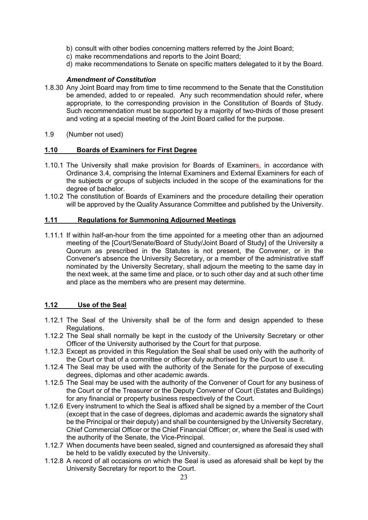- b) consult with other bodies concerning matters referred by the Joint Board;
- c) make recommendations and reports to the Joint Board;
- d) make recommendations to Senate on specific matters delegated to it by the Board.

#### *Amendment of Constitution*

- 1.8.30 Any Joint Board may from time to time recommend to the Senate that the Constitution be amended, added to or repealed. Any such recommendation should refer, where appropriate, to the corresponding provision in the Constitution of Boards of Study. Such recommendation must be supported by a majority of two-thirds of those present and voting at a special meeting of the Joint Board called for the purpose.
- 1.9 (Number not used)

#### **1.10 Boards of Examiners for First Degree**

- 1.10.1 The University shall make provision for Boards of Examiners, in accordance with Ordinance 3.4, comprising the Internal Examiners and External Examiners for each of the subjects or groups of subjects included in the scope of the examinations for the degree of bachelor.
- 1.10.2 The constitution of Boards of Examiners and the procedure detailing their operation will be approved by the Quality Assurance Committee and published by the University.

#### **1.11 Regulations for Summoning Adjourned Meetings**

1.11.1 If within half-an-hour from the time appointed for a meeting other than an adjourned meeting of the [Court/Senate/Board of Study/Joint Board of Study] of the University a Quorum as prescribed in the Statutes is not present, the Convener, or in the Convener's absence the University Secretary, or a member of the administrative staff nominated by the University Secretary, shall adjourn the meeting to the same day in the next week, at the same time and place, or to such other day and at such other time and place as the members who are present may determine.

#### **1.12 Use of the Seal**

- 1.12.1 The Seal of the University shall be of the form and design appended to these Regulations.
- 1.12.2 The Seal shall normally be kept in the custody of the University Secretary or other Officer of the University authorised by the Court for that purpose.
- 1.12.3 Except as provided in this Regulation the Seal shall be used only with the authority of the Court or that of a committee or officer duly authorised by the Court to use it.
- 1.12.4 The Seal may be used with the authority of the Senate for the purpose of executing degrees, diplomas and other academic awards.
- 1.12.5 The Seal may be used with the authority of the Convener of Court for any business of the Court or of the Treasurer or the Deputy Convener of Court (Estates and Buildings) for any financial or property business respectively of the Court.
- 1.12.6 Every instrument to which the Seal is affixed shall be signed by a member of the Court (except that in the case of degrees, diplomas and academic awards the signatory shall be the Principal or their deputy) and shall be countersigned by the University Secretary, Chief Commercial Officer or the Chief Financial Officer; or, where the Seal is used with the authority of the Senate, the Vice-Principal.
- 1.12.7 When documents have been sealed, signed and countersigned as aforesaid they shall be held to be validly executed by the University.
- 1.12.8 A record of all occasions on which the Seal is used as aforesaid shall be kept by the University Secretary for report to the Court.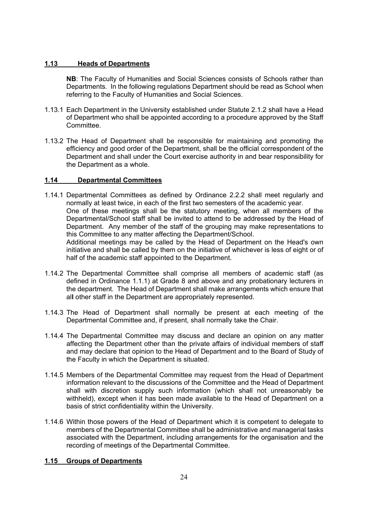#### **1.13 Heads of Departments**

**NB**: The Faculty of Humanities and Social Sciences consists of Schools rather than Departments. In the following regulations Department should be read as School when referring to the Faculty of Humanities and Social Sciences.

- 1.13.1 Each Department in the University established under Statute 2.1.2 shall have a Head of Department who shall be appointed according to a procedure approved by the Staff **Committee.**
- 1.13.2 The Head of Department shall be responsible for maintaining and promoting the efficiency and good order of the Department, shall be the official correspondent of the Department and shall under the Court exercise authority in and bear responsibility for the Department as a whole.

#### **1.14 Departmental Committees**

1.14.1 Departmental Committees as defined by Ordinance 2.2.2 shall meet regularly and normally at least twice, in each of the first two semesters of the academic year. One of these meetings shall be the statutory meeting, when all members of the Departmental/School staff shall be invited to attend to be addressed by the Head of Department. Any member of the staff of the grouping may make representations to this Committee to any matter affecting the Department/School. Additional meetings may be called by the Head of Department on the Head's own

initiative and shall be called by them on the initiative of whichever is less of eight or of half of the academic staff appointed to the Department.

- 1.14.2 The Departmental Committee shall comprise all members of academic staff (as defined in Ordinance 1.1.1) at Grade 8 and above and any probationary lecturers in the department. The Head of Department shall make arrangements which ensure that al**l** other staff in the Department are appropriately represented.
- 1.14.3 The Head of Department shall normally be present at each meeting of the Departmental Committee and, if present, shall normally take the Chair.
- 1.14.4 The Departmental Committee may discuss and declare an opinion on any matter affecting the Department other than the private affairs of individual members of staff and may declare that opinion to the Head of Department and to the Board of Study of the Faculty in which the Department is situated.
- 1.14.5 Members of the Departmental Committee may request from the Head of Department information relevant to the discussions of the Committee and the Head of Department shall with discretion supply such information (which shall not unreasonably be withheld), except when it has been made available to the Head of Department on a basis of strict confidentiality within the University.
- 1.14.6 Within those powers of the Head of Department which it is competent to delegate to members of the Departmental Committee shall be administrative and managerial tasks associated with the Department, including arrangements for the organisation and the recording of meetings of the Departmental Committee.

#### **1.15 Groups of Departments**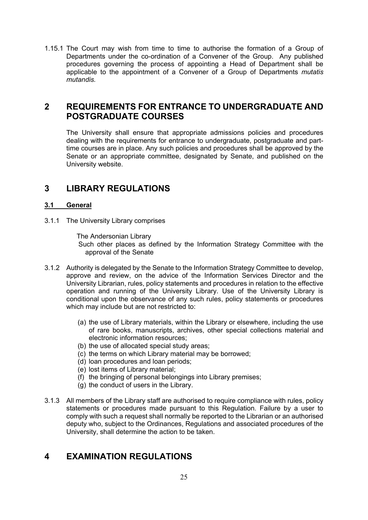1.15.1 The Court may wish from time to time to authorise the formation of a Group of Departments under the co-ordination of a Convener of the Group. Any published procedures governing the process of appointing a Head of Department shall be applicable to the appointment of a Convener of a Group of Departments *mutatis mutandis.*

# **2 REQUIREMENTS FOR ENTRANCE TO UNDERGRADUATE AND POSTGRADUATE COURSES**

The University shall ensure that appropriate admissions policies and procedures dealing with the requirements for entrance to undergraduate, postgraduate and parttime courses are in place. Any such policies and procedures shall be approved by the Senate or an appropriate committee, designated by Senate, and published on the University website.

# **3 LIBRARY REGULATIONS**

#### **3.1 General**

3.1.1 The University Library comprises

The Andersonian Library

Such other places as defined by the Information Strategy Committee with the approval of the Senate

- 3.1.2 Authority is delegated by the Senate to the Information Strategy Committee to develop, approve and review, on the advice of the Information Services Director and the University Librarian, rules, policy statements and procedures in relation to the effective operation and running of the University Library. Use of the University Library is conditional upon the observance of any such rules, policy statements or procedures which may include but are not restricted to:
	- (a) the use of Library materials, within the Library or elsewhere, including the use of rare books, manuscripts, archives, other special collections material and electronic information resources;
	- (b) the use of allocated special study areas;
	- (c) the terms on which Library material may be borrowed;
	- (d) loan procedures and loan periods;
	- (e) lost items of Library material;
	- (f) the bringing of personal belongings into Library premises;
	- (g) the conduct of users in the Library.
- 3.1.3 All members of the Library staff are authorised to require compliance with rules, policy statements or procedures made pursuant to this Regulation. Failure by a user to comply with such a request shall normally be reported to the Librarian or an authorised deputy who, subject to the Ordinances, Regulations and associated procedures of the University, shall determine the action to be taken.

# **4 EXAMINATION REGULATIONS**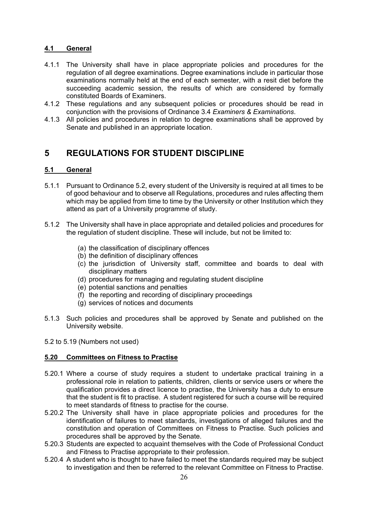#### **4.1 General**

- 4.1.1 The University shall have in place appropriate policies and procedures for the regulation of all degree examinations. Degree examinations include in particular those examinations normally held at the end of each semester, with a resit diet before the succeeding academic session, the results of which are considered by formally constituted Boards of Examiners.
- 4.1.2 These regulations and any subsequent policies or procedures should be read in conjunction with the provisions of Ordinance 3.4 *Examiners & Examinations*.
- 4.1*.*3 All policies and procedures in relation to degree examinations shall be approved by Senate and published in an appropriate location.

# **5 REGULATIONS FOR STUDENT DISCIPLINE**

#### **5.1 General**

- 5.1.1 Pursuant to Ordinance 5.2, every student of the University is required at all times to be of good behaviour and to observe all Regulations, procedures and rules affecting them which may be applied from time to time by the University or other Institution which they attend as part of a University programme of study.
- 5.1.2 The University shall have in place appropriate and detailed policies and procedures for the regulation of student discipline. These will include, but not be limited to:
	- (a) the classification of disciplinary offences
	- (b) the definition of disciplinary offences
	- (c) the jurisdiction of University staff, committee and boards to deal with disciplinary matters
	- (d) procedures for managing and regulating student discipline
	- (e) potential sanctions and penalties
	- (f) the reporting and recording of disciplinary proceedings
	- (g) services of notices and documents
- 5.1.3 Such policies and procedures shall be approved by Senate and published on the University website.
- 5.2 to 5.19 (Numbers not used)

#### **5.20 Committees on Fitness to Practise**

- 5.20.1 Where a course of study requires a student to undertake practical training in a professional role in relation to patients, children, clients or service users or where the qualification provides a direct licence to practise, the University has a duty to ensure that the student is fit to practise. A student registered for such a course will be required to meet standards of fitness to practise for the course.
- 5.20.2 The University shall have in place appropriate policies and procedures for the identification of failures to meet standards, investigations of alleged failures and the constitution and operation of Committees on Fitness to Practise. Such policies and procedures shall be approved by the Senate.
- 5.20.3 Students are expected to acquaint themselves with the Code of Professional Conduct and Fitness to Practise appropriate to their profession.
- 5.20.4 A student who is thought to have failed to meet the standards required may be subject to investigation and then be referred to the relevant Committee on Fitness to Practise.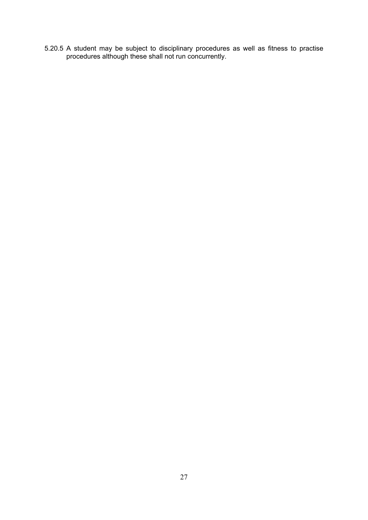5.20.5 A student may be subject to disciplinary procedures as well as fitness to practise procedures although these shall not run concurrently.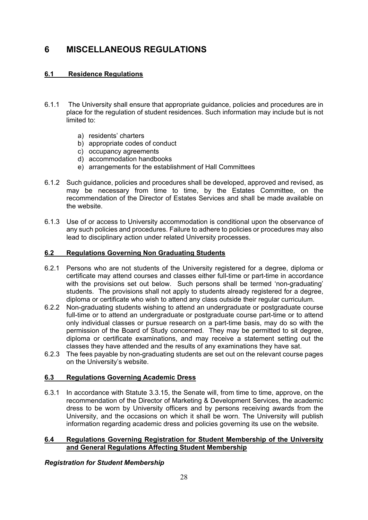# **6 MISCELLANEOUS REGULATIONS**

### **6.1 Residence Regulations**

- 6.1.1 The University shall ensure that appropriate guidance, policies and procedures are in place for the regulation of student residences. Such information may include but is not limited to:
	- a) residents' charters
	- b) appropriate codes of conduct
	- c) occupancy agreements
	- d) accommodation handbooks
	- e) arrangements for the establishment of Hall Committees
- 6.1.2 Such guidance, policies and procedures shall be developed, approved and revised, as may be necessary from time to time, by the Estates Committee, on the recommendation of the Director of Estates Services and shall be made available on the website.
- 6.1.3 Use of or access to University accommodation is conditional upon the observance of any such policies and procedures. Failure to adhere to policies or procedures may also lead to disciplinary action under related University processes.

#### **6.2 Regulations Governing Non Graduating Students**

- 6.2.1 Persons who are not students of the University registered for a degree, diploma or certificate may attend courses and classes either full-time or part-time in accordance with the provisions set out below. Such persons shall be termed 'non-graduating' students. The provisions shall not apply to students already registered for a degree, diploma or certificate who wish to attend any class outside their regular curriculum.
- 6.2.2 Non-graduating students wishing to attend an undergraduate or postgraduate course full-time or to attend an undergraduate or postgraduate course part-time or to attend only individual classes or pursue research on a part-time basis, may do so with the permission of the Board of Study concerned. They may be permitted to sit degree, diploma or certificate examinations, and may receive a statement setting out the classes they have attended and the results of any examinations they have sat.
- 6.2.3 The fees payable by non-graduating students are set out on the relevant course pages on the University's website.

#### **6.3 Regulations Governing Academic Dress**

6.3.1 In accordance with Statute 3.3.15, the Senate will, from time to time, approve, on the recommendation of the Director of Marketing & Development Services, the academic dress to be worn by University officers and by persons receiving awards from the University, and the occasions on which it shall be worn. The University will publish information regarding academic dress and policies governing its use on the website.

#### **6.4 Regulations Governing Registration for Student Membership of the University and General Regulations Affecting Student Membership**

#### *Registration for Student Membership*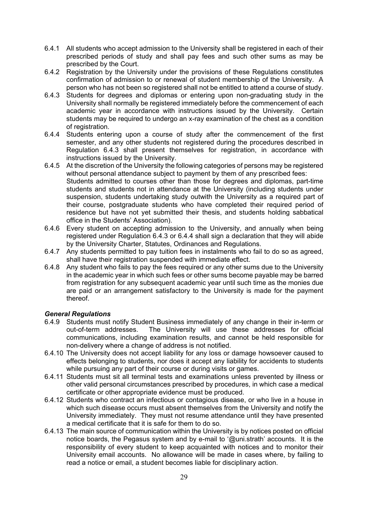- 6.4.1 All students who accept admission to the University shall be registered in each of their prescribed periods of study and shall pay fees and such other sums as may be prescribed by the Court.
- 6.4.2 Registration by the University under the provisions of these Regulations constitutes confirmation of admission to or renewal of student membership of the University. A person who has not been so registered shall not be entitled to attend a course of study.
- 6.4.3 Students for degrees and diplomas or entering upon non-graduating study in the University shall normally be registered immediately before the commencement of each academic year in accordance with instructions issued by the University. Certain students may be required to undergo an x-ray examination of the chest as a condition of registration.
- 6.4.4 Students entering upon a course of study after the commencement of the first semester, and any other students not registered during the procedures described in Regulation 6.4.3 shall present themselves for registration, in accordance with instructions issued by the University.
- 6.4.5 At the discretion of the University the following categories of persons may be registered without personal attendance subject to payment by them of any prescribed fees: Students admitted to courses other than those for degrees and diplomas, part-time students and students not in attendance at the University (including students under suspension, students undertaking study outwith the University as a required part of their course, postgraduate students who have completed their required period of residence but have not yet submitted their thesis, and students holding sabbatical office in the Students' Association).
- 6.4.6 Every student on accepting admission to the University, and annually when being registered under Regulation 6.4.3 or 6.4.4 shall sign a declaration that they will abide by the University Charter, Statutes, Ordinances and Regulations.
- 6.4.7 Any students permitted to pay tuition fees in instalments who fail to do so as agreed, shall have their registration suspended with immediate effect.
- 6.4.8 Any student who fails to pay the fees required or any other sums due to the University in the academic year in which such fees or other sums become payable may be barred from registration for any subsequent academic year until such time as the monies due are paid or an arrangement satisfactory to the University is made for the payment thereof.

#### *General Regulations*

- 6.4.9 Students must notify Student Business immediately of any change in their in-term or out-of-term addresses. The University will use these addresses for official communications, including examination results, and cannot be held responsible for non-delivery where a change of address is not notified.
- 6.4.10 The University does not accept liability for any loss or damage howsoever caused to effects belonging to students, nor does it accept any liability for accidents to students while pursuing any part of their course or during visits or games.
- 6.4.11 Students must sit all terminal tests and examinations unless prevented by illness or other valid personal circumstances prescribed by procedures, in which case a medical certificate or other appropriate evidence must be produced.
- 6.4.12 Students who contract an infectious or contagious disease, or who live in a house in which such disease occurs must absent themselves from the University and notify the University immediately. They must not resume attendance until they have presented a medical certificate that it is safe for them to do so.
- 6.4.13 The main source of communication within the University is by notices posted on official notice boards, the Pegasus system and by e-mail to '@uni.strath' accounts. It is the responsibility of every student to keep acquainted with notices and to monitor their University email accounts. No allowance will be made in cases where, by failing to read a notice or email, a student becomes liable for disciplinary action.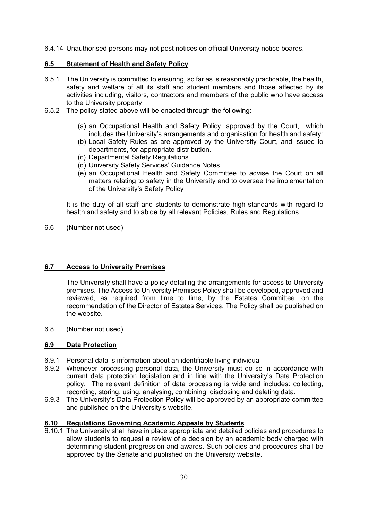6.4.14 Unauthorised persons may not post notices on official University notice boards.

#### **6.5 Statement of Health and Safety Policy**

- 6.5.1 The University is committed to ensuring, so far as is reasonably practicable, the health, safety and welfare of all its staff and student members and those affected by its activities including, visitors, contractors and members of the public who have access to the University property.
- 6.5.2 The policy stated above will be enacted through the following:
	- (a) an Occupational Health and Safety Policy, approved by the Court, which includes the University's arrangements and organisation for health and safety:
	- (b) Local Safety Rules as are approved by the University Court, and issued to departments, for appropriate distribution.
	- (c) Departmental Safety Regulations.
	- (d) University Safety Services' Guidance Notes.
	- (e) an Occupational Health and Safety Committee to advise the Court on all matters relating to safety in the University and to oversee the implementation of the University's Safety Policy

It is the duty of all staff and students to demonstrate high standards with regard to health and safety and to abide by all relevant Policies, Rules and Regulations.

6.6 (Number not used)

#### **6.7 Access to University Premises**

The University shall have a policy detailing the arrangements for access to University premises. The Access to University Premises Policy shall be developed, approved and reviewed, as required from time to time, by the Estates Committee, on the recommendation of the Director of Estates Services. The Policy shall be published on the website.

6.8 (Number not used)

#### **6.9 Data Protection**

- 6.9.1 Personal data is information about an identifiable living individual.
- 6.9.2 Whenever processing personal data, the University must do so in accordance with current data protection legislation and in line with the University's Data Protection policy. The relevant definition of data processing is wide and includes: collecting, recording, storing, using, analysing, combining, disclosing and deleting data.
- 6.9.3 The University's Data Protection Policy will be approved by an appropriate committee and published on the University's website.

#### **6.10 Regulations Governing Academic Appeals by Students**

6.10.1 The University shall have in place appropriate and detailed policies and procedures to allow students to request a review of a decision by an academic body charged with determining student progression and awards. Such policies and procedures shall be approved by the Senate and published on the University website.